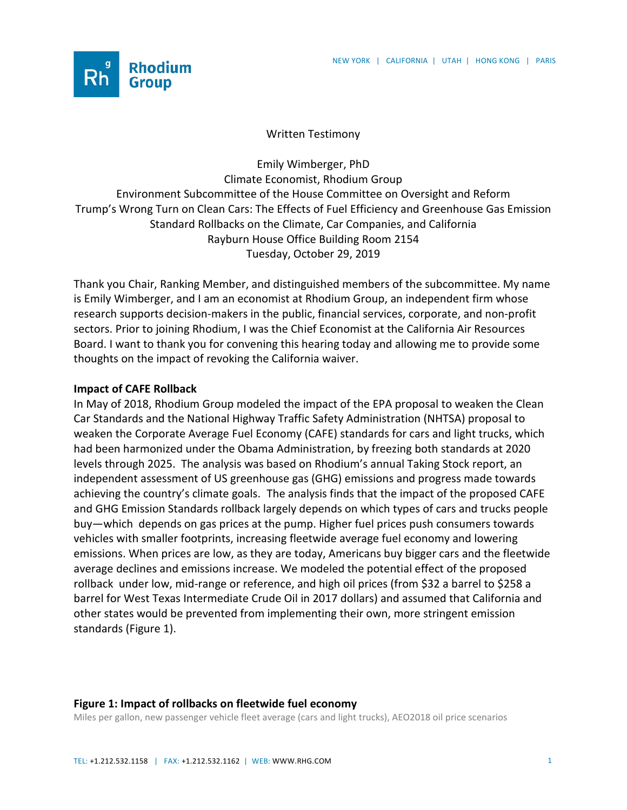

## Written Testimony

Emily Wimberger, PhD Climate Economist, Rhodium Group Environment Subcommittee of the House Committee on Oversight and Reform Trump's Wrong Turn on Clean Cars: The Effects of Fuel Efficiency and Greenhouse Gas Emission Standard Rollbacks on the Climate, Car Companies, and California Rayburn House Office Building Room 2154 Tuesday, October 29, 2019

Thank you Chair, Ranking Member, and distinguished members of the subcommittee. My name is Emily Wimberger, and I am an economist at Rhodium Group, an independent firm whose research supports decision-makers in the public, financial services, corporate, and non-profit sectors. Prior to joining Rhodium, I was the Chief Economist at the California Air Resources Board. I want to thank you for convening this hearing today and allowing me to provide some thoughts on the impact of revoking the California waiver.

## **Impact of CAFE Rollback**

In May of 2018, Rhodium Group modeled the impact of the EPA proposal to weaken the Clean Car Standards and the National Highway Traffic Safety Administration (NHTSA) proposal to weaken the Corporate Average Fuel Economy (CAFE) standards for cars and light trucks, which had been harmonized under the Obama Administration, by freezing both standards at 2020 levels through 2025. The analysis was based on Rhodium's annual Taking Stock report, an independent assessment of US greenhouse gas (GHG) emissions and progress made towards achieving the country's climate goals. The analysis finds that the impact of the proposed CAFE and GHG Emission Standards rollback largely depends on which types of cars and trucks people buy—which depends on gas prices at the pump. Higher fuel prices push consumers towards vehicles with smaller footprints, increasing fleetwide average fuel economy and lowering emissions. When prices are low, as they are today, Americans buy bigger cars and the fleetwide average declines and emissions increase. We modeled the potential effect of the proposed rollback under low, mid-range or reference, and high oil prices (from \$32 a barrel to \$258 a barrel for West Texas Intermediate Crude Oil in 2017 dollars) and assumed that California and other states would be prevented from implementing their own, more stringent emission standards (Figure 1).

## **Figure 1: Impact of rollbacks on fleetwide fuel economy**

Miles per gallon, new passenger vehicle fleet average (cars and light trucks), AEO2018 oil price scenarios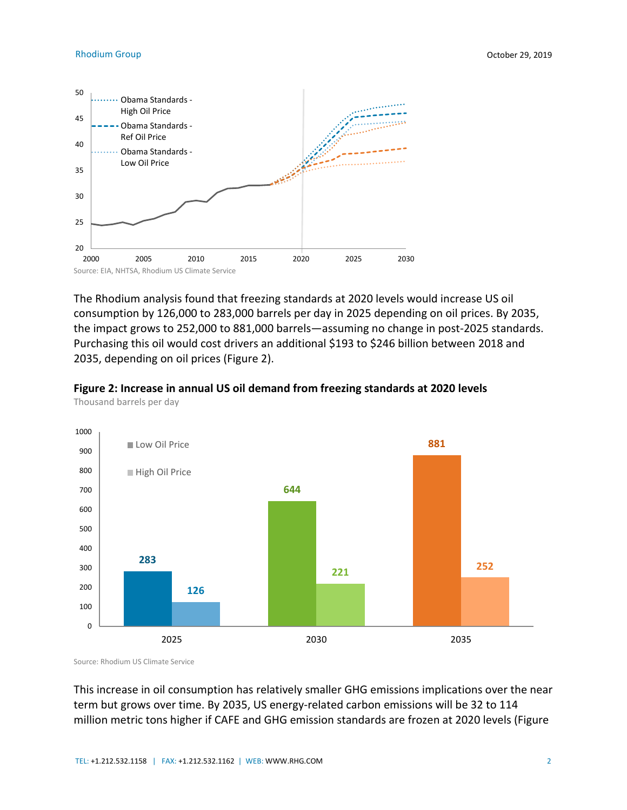

The Rhodium analysis found that freezing standards at 2020 levels would increase US oil consumption by 126,000 to 283,000 barrels per day in 2025 depending on oil prices. By 2035, the impact grows to 252,000 to 881,000 barrels—assuming no change in post-2025 standards. Purchasing this oil would cost drivers an additional \$193 to \$246 billion between 2018 and 2035, depending on oil prices (Figure 2).





Source: Rhodium US Climate Service

This increase in oil consumption has relatively smaller GHG emissions implications over the near term but grows over time. By 2035, US energy-related carbon emissions will be 32 to 114 million metric tons higher if CAFE and GHG emission standards are frozen at 2020 levels (Figure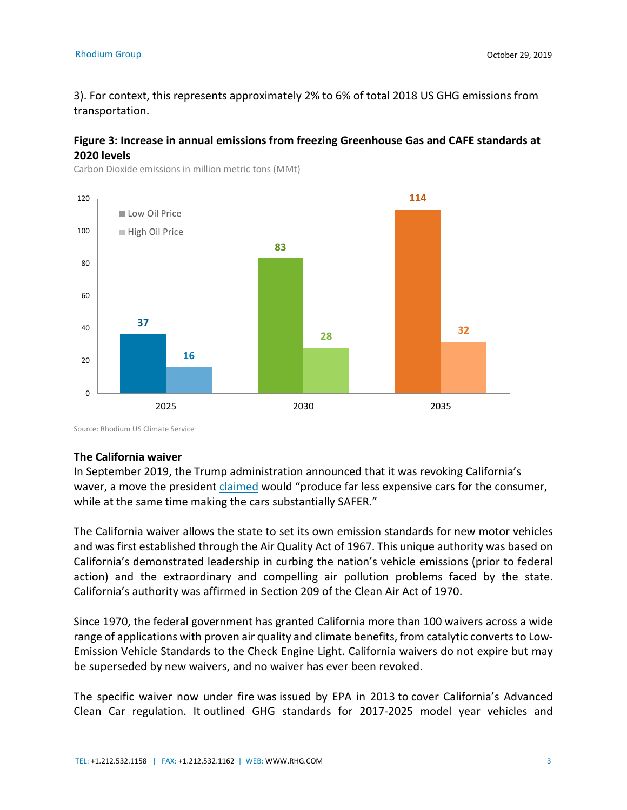3). For context, this represents approximately 2% to 6% of total 2018 US GHG emissions from transportation.

## **Figure 3: Increase in annual emissions from freezing Greenhouse Gas and CAFE standards at 2020 levels**



Carbon Dioxide emissions in million metric tons (MMt)

Source: Rhodium US Climate Service

#### **The California waiver**

In September 2019, the Trump administration announced that it was revoking California's waver, a move the president [claimed](https://twitter.com/realdonaldtrump/status/1174342163141812224?lang=en) would "produce far less expensive cars for the consumer, while at the same time making the cars substantially SAFER."

The California waiver allows the state to set its own emission standards for new motor vehicles and was first established through the Air Quality Act of 1967. This unique authority was based on California's demonstrated leadership in curbing the nation's vehicle emissions (prior to federal action) and the extraordinary and compelling air pollution problems faced by the state. California's authority was affirmed in Section 209 of the Clean Air Act of 1970.

Since 1970, the federal government has granted California more than 100 waivers across a wide range of applications with proven air quality and climate benefits, from catalytic converts to Low-Emission Vehicle Standards to the Check Engine Light. California waivers do not expire but may be superseded by new waivers, and no waiver has ever been revoked.

The specific waiver now under fire was issued by EPA in 2013 to cover California's Advanced Clean Car regulation. It outlined GHG standards for 2017-2025 model year vehicles and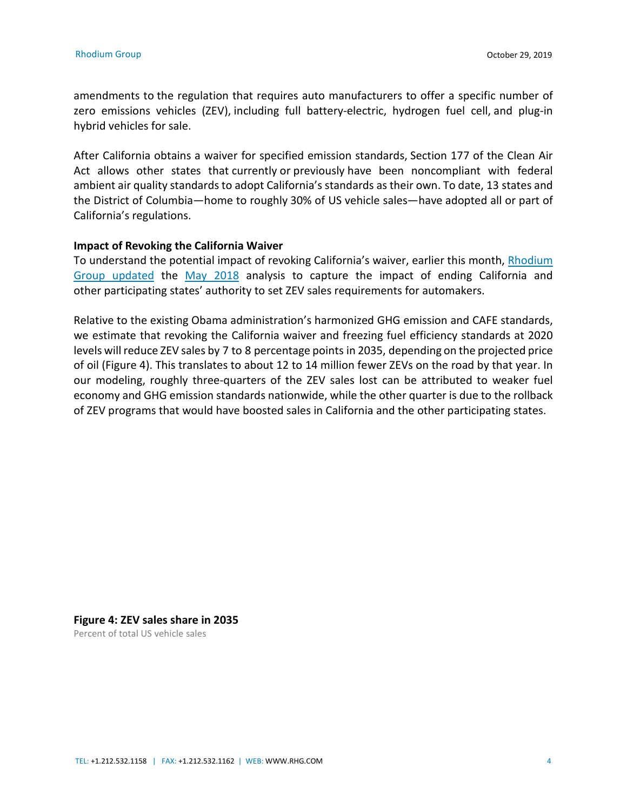amendments to the regulation that requires auto manufacturers to offer a specific number of zero emissions vehicles (ZEV), including full battery-electric, hydrogen fuel cell, and plug-in hybrid vehicles for sale.

After California obtains a waiver for specified emission standards, Section 177 of the Clean Air Act allows other states that currently or previously have been noncompliant with federal ambient air quality standards to adopt California's standards as their own. To date, 13 states and the District of Columbia—home to roughly 30% of US vehicle sales—have adopted all or part of California's regulations.

## **Impact of Revoking the California Waiver**

To understand the potential impact of revoking California's waiver, earlier this month, [Rhodium](https://rhg.com/research/come-and-take-it-revoking-the-california-waiver/)  [Group updated](https://rhg.com/research/come-and-take-it-revoking-the-california-waiver/) the [May 2018](https://rhg.com/research/sizing-up-a-potential-fuel-economy-standards-freeze/) analysis to capture the impact of ending California and other participating states' authority to set ZEV sales requirements for automakers.

Relative to the existing Obama administration's harmonized GHG emission and CAFE standards, we estimate that revoking the California waiver and freezing fuel efficiency standards at 2020 levels will reduce ZEV sales by 7 to 8 percentage points in 2035, depending on the projected price of oil (Figure 4). This translates to about 12 to 14 million fewer ZEVs on the road by that year. In our modeling, roughly three-quarters of the ZEV sales lost can be attributed to weaker fuel economy and GHG emission standards nationwide, while the other quarter is due to the rollback of ZEV programs that would have boosted sales in California and the other participating states.

# **Figure 4: ZEV sales share in 2035**

Percent of total US vehicle sales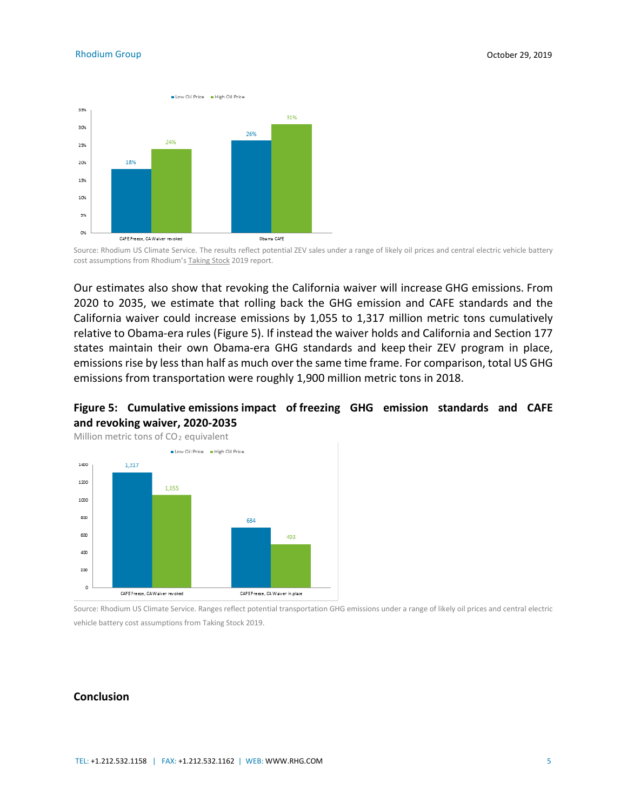

Source: Rhodium US Climate Service. The results reflect potential ZEV sales under a range of likely oil prices and central electric vehicle battery cost assumptions from Rhodium'[s Taking Stock](https://rhg.com/research/taking-stock-2019/) 2019 report.

Our estimates also show that revoking the California waiver will increase GHG emissions. From 2020 to 2035, we estimate that rolling back the GHG emission and CAFE standards and the California waiver could increase emissions by 1,055 to 1,317 million metric tons cumulatively relative to Obama-era rules (Figure 5). If instead the waiver holds and California and Section 177 states maintain their own Obama-era GHG standards and keep their ZEV program in place, emissions rise by less than half as much over the same time frame. For comparison, total US GHG emissions from transportation were roughly 1,900 million metric tons in 2018.





Source: Rhodium US Climate Service. Ranges reflect potential transportation GHG emissions under a range of likely oil prices and central electric vehicle battery cost assumptions from Taking Stock 2019.

### **Conclusion**